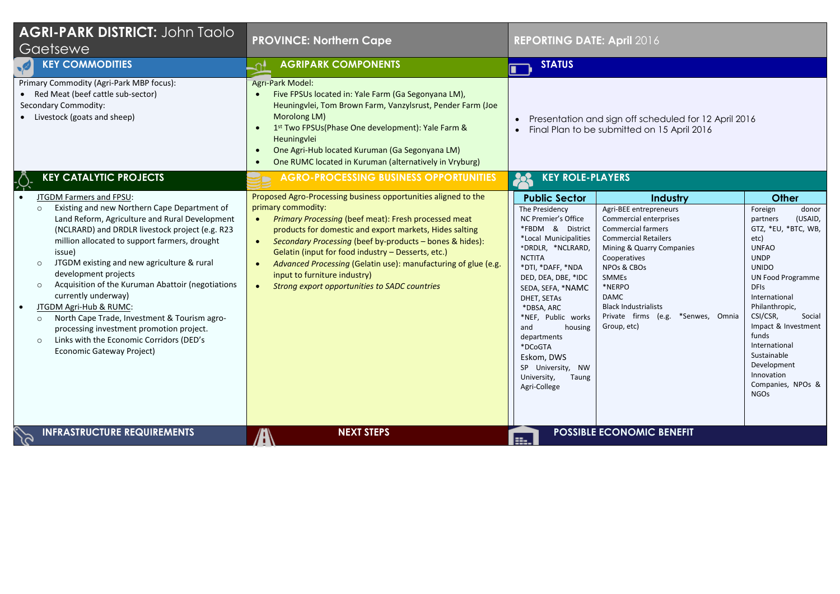| <b>AGRI-PARK DISTRICT: John Taolo</b><br>Gaetsewe                                                                                                                                                                                                                                                                                                                                                                                                                                                                                                                                                                                                            | <b>PROVINCE: Northern Cape</b>                                                                                                                                                                                                                                                                                                                                                                                                                                                                                      | <b>REPORTING DATE: April 2016</b>                                                                                                                                                                                                                                                                                                                                                                                                                                                                                                                                                                                                                                                                                                                                                                                                                                                                                                                                                                                                                                                              |
|--------------------------------------------------------------------------------------------------------------------------------------------------------------------------------------------------------------------------------------------------------------------------------------------------------------------------------------------------------------------------------------------------------------------------------------------------------------------------------------------------------------------------------------------------------------------------------------------------------------------------------------------------------------|---------------------------------------------------------------------------------------------------------------------------------------------------------------------------------------------------------------------------------------------------------------------------------------------------------------------------------------------------------------------------------------------------------------------------------------------------------------------------------------------------------------------|------------------------------------------------------------------------------------------------------------------------------------------------------------------------------------------------------------------------------------------------------------------------------------------------------------------------------------------------------------------------------------------------------------------------------------------------------------------------------------------------------------------------------------------------------------------------------------------------------------------------------------------------------------------------------------------------------------------------------------------------------------------------------------------------------------------------------------------------------------------------------------------------------------------------------------------------------------------------------------------------------------------------------------------------------------------------------------------------|
| <b>KEY COMMODITIES</b>                                                                                                                                                                                                                                                                                                                                                                                                                                                                                                                                                                                                                                       | <b>AGRIPARK COMPONENTS</b><br>ا∩                                                                                                                                                                                                                                                                                                                                                                                                                                                                                    | <b>STATUS</b>                                                                                                                                                                                                                                                                                                                                                                                                                                                                                                                                                                                                                                                                                                                                                                                                                                                                                                                                                                                                                                                                                  |
| Primary Commodity (Agri-Park MBP focus):<br>• Red Meat (beef cattle sub-sector)<br>Secondary Commodity:<br>• Livestock (goats and sheep)                                                                                                                                                                                                                                                                                                                                                                                                                                                                                                                     | Agri-Park Model:<br>Five FPSUs located in: Yale Farm (Ga Segonyana LM),<br>$\bullet$<br>Heuningvlei, Tom Brown Farm, Vanzylsrust, Pender Farm (Joe<br>Morolong LM)<br>1st Two FPSUs(Phase One development): Yale Farm &<br>$\bullet$<br>Heuningvlei<br>One Agri-Hub located Kuruman (Ga Segonyana LM)<br>One RUMC located in Kuruman (alternatively in Vryburg)                                                                                                                                                     | Presentation and sign off scheduled for 12 April 2016<br>Final Plan to be submitted on 15 April 2016                                                                                                                                                                                                                                                                                                                                                                                                                                                                                                                                                                                                                                                                                                                                                                                                                                                                                                                                                                                           |
| <b>KEY CATALYTIC PROJECTS</b>                                                                                                                                                                                                                                                                                                                                                                                                                                                                                                                                                                                                                                | <b>AGRO-PROCESSING BUSINESS OPPORTUNITIES</b>                                                                                                                                                                                                                                                                                                                                                                                                                                                                       | <b>KEY ROLE-PLAYERS</b><br>23                                                                                                                                                                                                                                                                                                                                                                                                                                                                                                                                                                                                                                                                                                                                                                                                                                                                                                                                                                                                                                                                  |
| JTGDM Farmers and FPSU:<br>Existing and new Northern Cape Department of<br>$\circ$<br>Land Reform, Agriculture and Rural Development<br>(NCLRARD) and DRDLR livestock project (e.g. R23<br>million allocated to support farmers, drought<br>issue)<br>JTGDM existing and new agriculture & rural<br>$\circ$<br>development projects<br>Acquisition of the Kuruman Abattoir (negotiations<br>$\circ$<br>currently underway)<br>JTGDM Agri-Hub & RUMC:<br>$\bullet$<br>North Cape Trade, Investment & Tourism agro-<br>$\circ$<br>processing investment promotion project.<br>Links with the Economic Corridors (DED's<br>$\circ$<br>Economic Gateway Project) | Proposed Agro-Processing business opportunities aligned to the<br>primary commodity:<br>Primary Processing (beef meat): Fresh processed meat<br>$\bullet$<br>products for domestic and export markets, Hides salting<br>Secondary Processing (beef by-products - bones & hides):<br>$\bullet$<br>Gelatin (input for food industry - Desserts, etc.)<br>Advanced Processing (Gelatin use): manufacturing of glue (e.g.<br>input to furniture industry)<br>Strong export opportunities to SADC countries<br>$\bullet$ | <b>Public Sector</b><br>Industry<br><b>Other</b><br>Agri-BEE entrepreneurs<br>The Presidency<br>Foreign<br>donor<br>Commercial enterprises<br>NC Premier's Office<br>(USAID,<br>partners<br>*FBDM & District<br><b>Commercial farmers</b><br>GTZ, *EU, *BTC, WB,<br><b>Commercial Retailers</b><br>*Local Municipalities<br>etc)<br>*DRDLR, *NCLRARD,<br>Mining & Quarry Companies<br><b>UNFAO</b><br><b>NCTITA</b><br>Cooperatives<br><b>UNDP</b><br>*DTI, *DAFF, *NDA<br>NPOs & CBOs<br><b>UNIDO</b><br>DED, DEA, DBE, *IDC<br><b>SMMEs</b><br><b>UN Food Programme</b><br>*NERPO<br><b>DFIS</b><br>SEDA, SEFA, *NAMC<br><b>DAMC</b><br>International<br>DHET, SETAs<br><b>Black Industrialists</b><br>Philanthropic,<br>*DBSA, ARC<br>CSI/CSR,<br>Private firms (e.g. *Senwes, Omnia<br>Social<br>*NEF, Public works<br>Impact & Investment<br>Group, etc)<br>and<br>housing<br>funds<br>departments<br>International<br>*DCoGTA<br>Sustainable<br>Eskom, DWS<br>Development<br>SP University, NW<br>Innovation<br>University,<br>Taung<br>Companies, NPOs &<br>Agri-College<br><b>NGOs</b> |
| <b>INFRASTRUCTURE REQUIREMENTS</b>                                                                                                                                                                                                                                                                                                                                                                                                                                                                                                                                                                                                                           | <b>NEXT STEPS</b>                                                                                                                                                                                                                                                                                                                                                                                                                                                                                                   | <b>POSSIBLE ECONOMIC BENEFIT</b><br>les.                                                                                                                                                                                                                                                                                                                                                                                                                                                                                                                                                                                                                                                                                                                                                                                                                                                                                                                                                                                                                                                       |